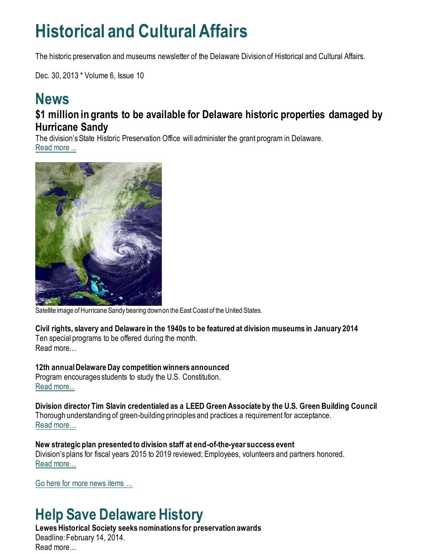## **Historical and Cultural Affairs**

The historic preservation and museums newsletter of the Delaware Division of Historical and Cultural Affairs.

Dec. 30, 2013 \* Volume 6, Issue 10

### **News \$1 million in grants to be available for Delaware historic properties damaged by Hurricane Sandy**

The division's State Historic Preservation Office will administer the grant program in Delaware. [Read more ...](https://history.delaware.gov/2013/12/12/1-million-in-grants-to-be-available-for-delaware-historic-properties-damaged-by-hurricane-sandy/)



Satellite image of Hurricane Sandy bearing down on the East Coast of the United States.

**Civil rights, slavery and Delaware in the 1940s to be featured at division museums in January 2014** Ten special programs to be offered during the month.

Read more…

**12th annual Delaware Day competition winners announced** Program encourages students to study the U.S. Constitution. [Read more...](https://history.delaware.gov/2013/12/17/12th-annual-delaware-day-competition-winners-announced/)

**Division director Tim Slavin credentialed as a LEED Green Associate by the U.S. Green Building Council** Thorough understanding of green-building principles and practices a requirement for acceptance. [Read more…](https://history.delaware.gov/2013/12/18/division-director-tim-slavin-credentialed-as-a-leed-green-associate-by-the-u-s-green-building-council/)

**New strategic plan presented to division staff at end-of-the-year success event** Division's plans for fiscal years 2015 to 2019 reviewed; Employees, volunteers and partners honored. [Read more…](https://history.delaware.gov/2013/12/20/new-strategic-plan-presented-to-division-staff-at-end-of-the-year-success-event/)

[Go here for more news items …](http://history.blogs.delaware.gov/)

## **Help Save Delaware History**

**Lewes Historical Society seeks nominations for preservation awards** Deadline: February 14, 2014. Read more…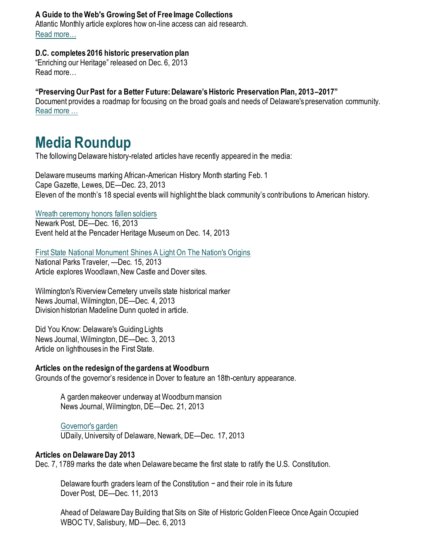#### **A Guide to the Web's Growing Set of Free Image Collections**

Atlantic Monthly article explores how on-line access can aid research. [Read more…](https://www.theatlantic.com/technology/archive/2013/08/a-guide-to-the-webs-growing-set-of-free-image-collections/278655/)

#### **D.C. completes 2016 historic preservation plan**

"Enriching our Heritage" released on Dec. 6, 2013 Read more…

#### **"Preserving Our Past for a Better Future: Delaware's Historic Preservation Plan, 2013–2017"**

Document provides a roadmap for focusing on the broad goals and needs of Delaware's preservation community. [Read more …](https://history.delaware.gov/wp-content/uploads/sites/179/2019/02/Preservation-Plan-2013-2017.pdf)

## **Media Roundup**

The following Delaware history-related articles have recently appeared in the media:

Delaware museums marking African-American History Month starting Feb. 1 Cape Gazette, Lewes, DE—Dec. 23, 2013 Eleven of the month's 18 special events will highlight the black community's contributions to American history.

#### [Wreath ceremony honors fallen soldiers](https://www.newarkpostonline.com/news/article_5c5aeb7f-a690-518b-928f-bf83ff3f336c.html)

Newark Post, DE—Dec. 16, 2013 Event held at the Pencader Heritage Museum on Dec. 14, 2013

#### [First State National Monument Shines A Light On The Nation's Origins](https://www.nationalparkstraveler.org/2013/12/first-state-national-monument-shines-light-nations-origins24373)

National Parks Traveler, —Dec. 15, 2013 Article explores Woodlawn, New Castle and Dover sites.

Wilmington's Riverview Cemetery unveils state historical marker News Journal, Wilmington, DE—Dec. 4, 2013 Division historian Madeline Dunn quoted in article.

Did You Know: Delaware's Guiding Lights News Journal, Wilmington, DE—Dec. 3, 2013 Article on lighthouses in the First State.

#### **Articles on the redesign of the gardens at Woodburn**

Grounds of the governor's residence in Dover to feature an 18th-century appearance.

A garden makeover underway at Woodburn mansion News Journal, Wilmington, DE—Dec. 21, 2013

#### [Governor's garden](http://www1.udel.edu/udaily/2014/dec/udbg-woodburn-garden-121713.html)

UDaily, University of Delaware, Newark, DE—Dec. 17, 2013

#### **Articles on Delaware Day 2013**

Dec. 7, 1789 marks the date when Delaware became the first state to ratify the U.S. Constitution.

Delaware fourth graders learn of the Constitution − and their role in its future Dover Post, DE—Dec. 11, 2013

Ahead of Delaware Day Building that Sits on Site of Historic Golden Fleece Once Again Occupied WBOC TV, Salisbury, MD—Dec. 6, 2013